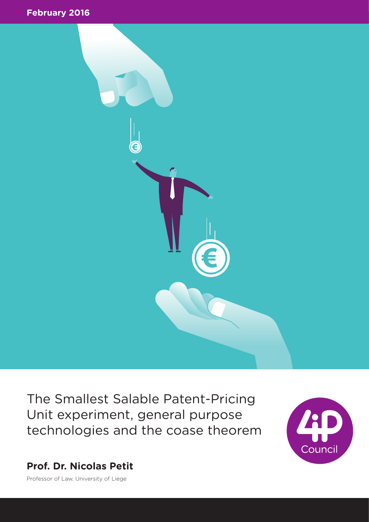



The Smallest Salable Patent-Pricing Unit experiment, general purpose technologies and the coase theorem



**Prof. Dr. Nicolas Petit**

Professor of Law, University of Liege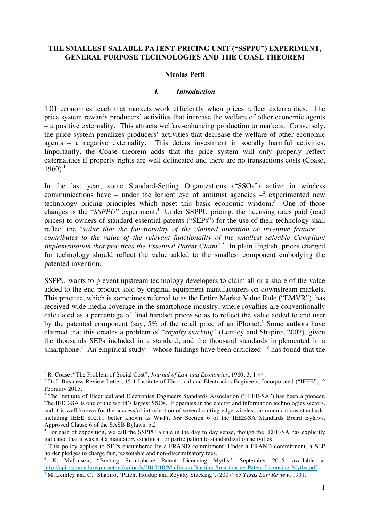## **THE SMALLEST SALABLE PATENT-PRICING UNIT ("SSPPU") EXPERIMENT, GENERAL PURPOSE TECHNOLOGIES AND THE COASE THEOREM**

#### **Nicolas Petit**

#### *I. Introduction*

1.01 economics teach that markets work efficiently when prices reflect externalities. The price system rewards producers' activities that increase the welfare of other economic agents – a positive externality. This attracts welfare-enhancing production to markets. Conversely, the price system penalizes producers' activities that decrease the welfare of other economic agents – a negative externality. This deters investment in socially harmful activities. Importantly, the Coase theorem adds that the price system will only properly reflect externalities if property rights are well delineated and there are no transactions costs (Coase,  $1960$ ).<sup>1</sup>

In the last year, some Standard-Setting Organizations ("SSOs") active in wireless communications have – under the lenient eye of antitrust agencies  $-2$  experimented new technology pricing principles which upset this basic economic wisdom. <sup>3</sup> One of those changes is the "*SSPPU*" experiment.<sup>4</sup> Under SSPPU pricing, the licensing rates paid (read prices) to owners of standard essential patents ("SEPs") for the use of their technology shall reflect the "*value that the functionality of the claimed invention or inventive feature … contributes to the value of the relevant functionality of the smallest saleable Compliant*  Implementation that practices the Essential Patent Claim".<sup>5</sup> In plain English, prices charged for technology should reflect the value added to the smallest component embodying the patented invention.

SSPPU wants to prevent upstream technology developers to claim all or a share of the value added to the end product sold by original equipment manufacturers on downstream markets. This practice, which is sometimes referred to as the Entire Market Value Rule ("EMVR"), has received wide media coverage in the smartphone industry, where royalties are conventionally calculated as a percentage of final handset prices so as to reflect the value added to end user by the patented component (say,  $5\%$  of the retail price of an iPhone).<sup>6</sup> Some authors have claimed that this creates a problem of "*royalty stacking*" (Lemley and Shapiro, 2007), given the thousands SEPs included in a standard, and the thousand standards implemented in a smartphone.<sup>7</sup> An empirical study – whose findings have been criticized  $-\text{8}$  has found that the

<sup>&</sup>lt;sup>1</sup> R. Coase, "The Problem of Social Cost", *Journal of Law and Economics*, 1960, 3, 1-44.<br><sup>2</sup> DoJ, Business Review Letter, 15-1 Institute of Electrical and Electronics Engineers, Incorporated ("IEEE"), 2 February 2015.

<sup>&</sup>lt;sup>3</sup> The Institute of Electrical and Electronics Engineers Standards Association ("IEEE-SA") has been a pioneer. The IEEE-SA is one of the world's largest SSOs. It operates in the electro and information technologies sectors, and it is well-known for the successful introduction of several cutting-edge wireless communications standards, including IEEE 802.11 better known as Wi-Fi. *See* Section 6 of the IEEE-SA Standards Board Bylaws, Approved Clause 6 of the SASB Bylaws, p.2.

<sup>&</sup>lt;sup>4</sup> For ease of exposition, we call the SSPPU a rule in the day to day sense, though the IEEE-SA has explicitly indicated that it was not a mandatory condition for participation to standardization activities.

<sup>&</sup>lt;sup>5</sup> This policy applies to SEPs encumbered by a  $\overline{FRAND}$  commitment. Under a FRAND commitment, a SEP holder pledges to charge fair, reasonable and non-discriminatory fees.

<sup>&</sup>lt;sup>6</sup> K. Mallinson, "Busting Smartphone Patent Licensing Myths", September 2015, available at http://cpip.gmu.edu/wp-content/uploads/2015/10/Mallinson-Busting-Smartphone-Patent-Licensing-Myths.pdf <sup>7</sup> M. Lemley and C." Shapiro, 'Patent Holdup and Royalty Stacking', (2007) 85 *Texas Law Review*, 1991.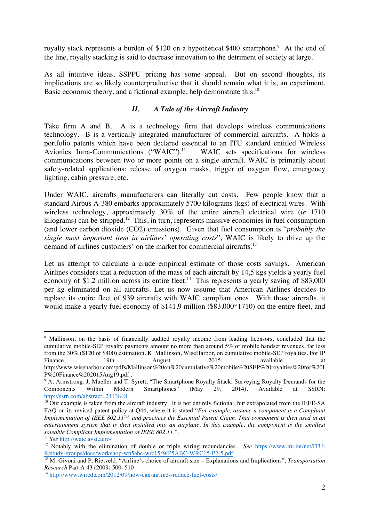royalty stack represents a burden of \$120 on a hypothetical \$400 smartphone.<sup>9</sup> At the end of the line, royalty stacking is said to decrease innovation to the detriment of society at large.

As all intuitive ideas, SSPPU pricing has some appeal. But on second thoughts, its implications are so likely counterproductive that it should remain what it is, an experiment. Basic economic theory, and a fictional example, help demonstrate this.<sup>10</sup>

# *II. A Tale of the Aircraft Industry*

Take firm A and B. A is a technology firm that develops wireless communications technology. B is a vertically integrated manufacturer of commercial aircrafts. A holds a portfolio patents which have been declared essential to an ITU standard entitled Wireless Avionics Intra-Communications ("WAIC").<sup>11</sup> WAIC sets specifications for wireless communications between two or more points on a single aircraft. WAIC is primarily about safety-related applications: release of oxygen masks, trigger of oxygen flow, emergency lighting, cabin pressure, etc.

Under WAIC, aircrafts manufacturers can literally cut costs. Few people know that a standard Airbus A-380 embarks approximately 5700 kilograms (kgs) of electrical wires. With wireless technology, approximately 30% of the entire aircraft electrical wire (*ie* 1710 kilograms) can be stripped.<sup>12</sup> This, in turn, represents massive economies in fuel consumption (and lower carbon dioxide (CO2) emissions). Given that fuel consumption is "*probably the single most important item in airlines' operating costs*", WAIC is likely to drive up the demand of airlines customers' on the market for commercial aircrafts.<sup>13</sup>

Let us attempt to calculate a crude empirical estimate of those costs savings. American Airlines considers that a reduction of the mass of each aircraft by 14,5 kgs yields a yearly fuel economy of \$1.2 million across its entire fleet.<sup>14</sup> This represents a yearly saving of \$83,000 per kg eliminated on all aircrafts. Let us now assume that American Airlines decides to replace its entire fleet of 939 aircrafts with WAIC compliant ones. With those aircrafts, it would make a yearly fuel economy of \$141,9 million (\$83,000\*1710) on the entire fleet, and

<sup>&</sup>lt;sup>8</sup> Mallinson, on the basis of financially audited royalty income from leading licensors, concluded that the cumulative mobile-SEP royalty payments amount no more than around 5% of mobile handset revenues, far less from the 30% (\$120 of \$400) estimation. K. Mallinson, WiseHarbor, on cumulative mobile-SEP royalties. For IP Finance, 19th August 2015, available at http://www.wiseharbor.com/pdfs/Mallinson%20on%20cumulative%20mobile%20SEP%20royalties%20for%20I P%20Finance%202015Aug19.pdf .

<sup>&</sup>lt;sup>9</sup> A. Armstrong, J. Mueller and T. Syrett, "The Smartphone Royalty Stack: Surveying Royalty Demands for the Components Within Modern Smartphones" (May 29, 2014). Available at SSRN: http://ssrn.com/abstract=2443848

 $10$  Our example is taken from the aircraft industry. It is not entirely fictional, but extrapolated from the IEEE-SA FAQ on its revised patent policy at Q44, where it is stated "*For example, assume a component is a Compliant Implementation of IEEE 802.11™ and practices the Essential Patent Claim. That component is then used in an entertainment system that is then installed into an airplane. In this example, the component is the smallest saleable Compliant Implementation of IEEE 802.11.*". 11 *See* http://waic.avsi.aero/

<sup>&</sup>lt;sup>12</sup> Notably with the elimination of double or triple wiring redundancies. *See* https://www.itu.int/net/ITU-R/study-groups/docs/workshop-wp5abc-wrc15/WP5ABC-WRC15-P2-5.pdf

<sup>13</sup> M. Givoni and P. Rietveld, "Airline's choice of aircraft size – Explanations and Implications", *Transportation Research* Part A 43 (2009) 500–510.

<sup>14</sup> http://www.wired.com/2012/09/how-can-airlines-reduce-fuel-costs/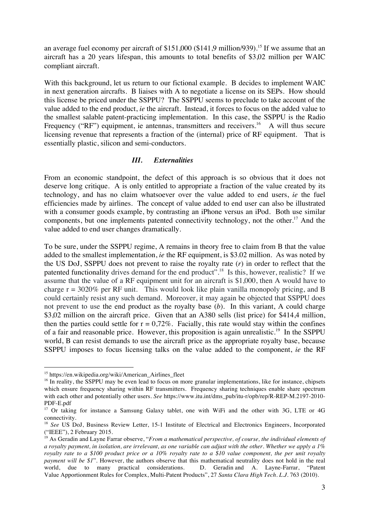an average fuel economy per aircraft of \$151,000 (\$141,9 million/939).<sup>15</sup> If we assume that an aircraft has a 20 years lifespan, this amounts to total benefits of \$3,02 million per WAIC compliant aircraft.

With this background, let us return to our fictional example. B decides to implement WAIC in next generation aircrafts. B liaises with A to negotiate a license on its SEPs. How should this license be priced under the SSPPU? The SSPPU seems to preclude to take account of the value added to the end product, *ie* the aircraft. Instead, it forces to focus on the added value to the smallest salable patent-practicing implementation. In this case, the SSPPU is the Radio Frequency ("RF") equipment, ie antennas, transmitters and receivers.<sup>16</sup> A will thus secure licensing revenue that represents a fraction of the (internal) price of RF equipment. That is essentially plastic, silicon and semi-conductors.

## *III. Externalities*

From an economic standpoint, the defect of this approach is so obvious that it does not deserve long critique. A is only entitled to appropriate a fraction of the value created by its technology, and has no claim whatsoever over the value added to end users, *ie* the fuel efficiencies made by airlines. The concept of value added to end user can also be illustrated with a consumer goods example, by contrasting an iPhone versus an iPod. Both use similar components, but one implements patented connectivity technology, not the other.<sup>17</sup> And the value added to end user changes dramatically.

To be sure, under the SSPPU regime, A remains in theory free to claim from B that the value added to the smallest implementation, *ie* the RF equipment, is \$3.02 million. As was noted by the US DoJ, SSPPU does not prevent to raise the royalty rate (*r*) in order to reflect that the patented functionality drives demand for the end product".<sup>18</sup> Is this, however, realistic? If we assume that the value of a RF equipment unit for an aircraft is \$1,000, then A would have to charge  $r = 3020\%$  per RF unit. This would look like plain vanilla monopoly pricing, and B could certainly resist any such demand. Moreover, it may again be objected that SSPPU does not prevent to use the end product as the royalty base (*b*). In this variant, A could charge \$3,02 million on the aircraft price. Given that an A380 sells (list price) for \$414,4 million, then the parties could settle for  $r = 0.72\%$ . Facially, this rate would stay within the confines of a fair and reasonable price. However, this proposition is again unrealistic.<sup>19</sup> In the SSPPU world, B can resist demands to use the aircraft price as the appropriate royalty base, because SSPPU imposes to focus licensing talks on the value added to the component, *ie* the RF

<sup>&</sup>lt;sup>15</sup> https://en.wikipedia.org/wiki/American\_Airlines\_fleet

<sup>&</sup>lt;sup>16</sup> In reality, the SSPPU may be even lead to focus on more granular implementations, like for instance, chipsets which ensure frequency sharing within RF transmitters. Frequency sharing techniques enable share spectrum with each other and potentially other users. *See* https://www.itu.int/dms\_pub/itu-r/opb/rep/R-REP-M.2197-2010- PDF-E.pdf

<sup>&</sup>lt;sup>17</sup> Or taking for instance a Samsung Galaxy tablet, one with WiFi and the other with 3G, LTE or 4G connectivity.

<sup>&</sup>lt;sup>18</sup> *See* US DoJ, Business Review Letter, 15-1 Institute of Electrical and Electronics Engineers, Incorporated ("IEEE"), 2 February 2015.

<sup>&</sup>lt;sup>19</sup> As Geradin and Layne Farrar observe, "*From a mathematical perspective, of course, the individual elements of a royalty payment, in isolation, are irrelevant, as one variable can adjust with the other. Whether we apply a 1% royalty rate to a \$100 product price or a 10% royalty rate to a \$10 value component, the per unit royalty payment will be \$1*". However, the authors observe that this mathematical neutrality does not hold in the real world, due to many practical considerations. D. Geradin and A. Layne-Farrar, "Patent Value Apportionment Rules for Complex, Multi-Patent Products", 27 *Santa Clara High Tech. L.J.* 763 (2010).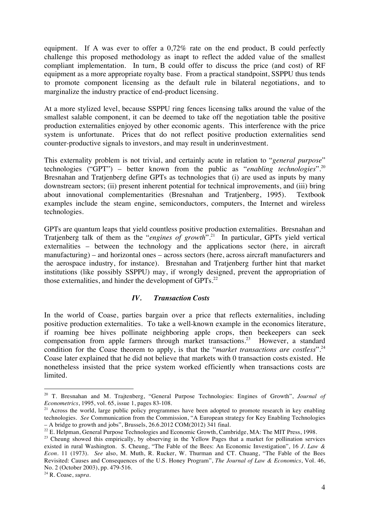equipment. If A was ever to offer a 0,72% rate on the end product, B could perfectly challenge this proposed methodology as inapt to reflect the added value of the smallest compliant implementation. In turn, B could offer to discuss the price (and cost) of RF equipment as a more appropriate royalty base. From a practical standpoint, SSPPU thus tends to promote component licensing as the default rule in bilateral negotiations, and to marginalize the industry practice of end-product licensing.

At a more stylized level, because SSPPU ring fences licensing talks around the value of the smallest salable component, it can be deemed to take off the negotiation table the positive production externalities enjoyed by other economic agents. This interference with the price system is unfortunate. Prices that do not reflect positive production externalities send counter-productive signals to investors, and may result in underinvestment.

This externality problem is not trivial, and certainly acute in relation to "*general purpose*" technologies ("GPT") – better known from the public as "*enabling technologies*". 20 Bresnahan and Tratjenberg define GPTs as technologies that (i) are used as inputs by many downstream sectors; (ii) present inherent potential for technical improvements, and (iii) bring about innovational complementarities (Bresnahan and Tratjenberg, 1995). Textbook examples include the steam engine, semiconductors, computers, the Internet and wireless technologies.

GPTs are quantum leaps that yield countless positive production externalities. Bresnahan and Tratjenberg talk of them as the "*engines of growth*".21 In particular, GPTs yield vertical externalities – between the technology and the applications sector (here, in aircraft manufacturing) – and horizontal ones – across sectors (here, across aircraft manufacturers and the aerospace industry, for instance). Bresnahan and Tratjenberg further hint that market institutions (like possibly SSPPU) may, if wrongly designed, prevent the appropriation of those externalities, and hinder the development of  $GPTs<sup>22</sup>$ .

# *IV. Transaction Costs*

In the world of Coase, parties bargain over a price that reflects externalities, including positive production externalities. To take a well-known example in the economics literature, if roaming bee hives pollinate neighboring apple crops, then beekeepers can seek compensation from apple farmers through market transactions.<sup>23</sup> However, a standard condition for the Coase theorem to apply, is that the "*market transactions are costless*".<sup>24</sup> Coase later explained that he did not believe that markets with 0 transaction costs existed. He nonetheless insisted that the price system worked efficiently when transactions costs are limited.

 <sup>20</sup> T. Bresnahan and M. Trajtenberg, "General Purpose Technologies: Engines of Growth", *Journal of Econometrics*, 1995, vol. 65, issue 1, pages 83-108.

<sup>&</sup>lt;sup>21</sup> Across the world, large public policy programmes have been adopted to promote research in key enabling technologies. *See* Communication from the Commission, "A European strategy for Key Enabling Technologies – A bridge to growth and jobs", Brussels, 26.6.2012 COM(2012) 341 final.

<sup>&</sup>lt;sup>22</sup> E. Helpman, General Purpose Technologies and Economic Growth, Cambridge, MA: The MIT Press, 1998.

<sup>&</sup>lt;sup>23</sup> Cheung showed this empirically, by observing in the Yellow Pages that a market for pollination services existed in rural Washington. S. Cheung, "The Fable of the Bees: An Economic Investigation", 16 *J. Law & Econ*. 11 (1973). *See* also, M. Muth, R. Rucker, W. Thurman and CT. Chuang, "The Fable of the Bees Revisited: Causes and Consequences of the U.S. Honey Program", *The Journal of Law & Economics*, Vol. 46, No. 2 (October 2003), pp. 479-516.

<sup>24</sup> R. Coase, *supra*.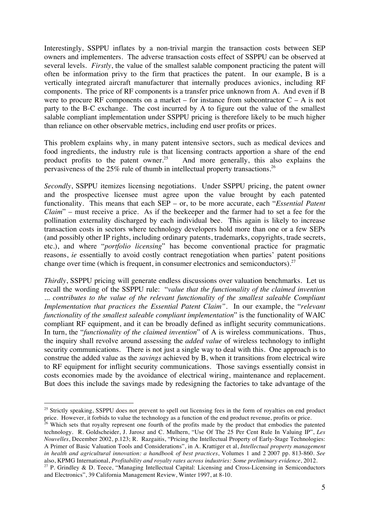Interestingly, SSPPU inflates by a non-trivial margin the transaction costs between SEP owners and implementers. The adverse transaction costs effect of SSPPU can be observed at several levels. *Firstly*, the value of the smallest salable component practicing the patent will often be information privy to the firm that practices the patent. In our example, B is a vertically integrated aircraft manufacturer that internally produces avionics, including RF components. The price of RF components is a transfer price unknown from A. And even if B were to procure RF components on a market – for instance from subcontractor  $C - A$  is not party to the B-C exchange. The cost incurred by A to figure out the value of the smallest salable compliant implementation under SSPPU pricing is therefore likely to be much higher than reliance on other observable metrics, including end user profits or prices.

This problem explains why, in many patent intensive sectors, such as medical devices and food ingredients, the industry rule is that licensing contracts apportion a share of the end product profits to the patent owner.<sup>25</sup> And more generally, this also explains the And more generally, this also explains the pervasiveness of the 25% rule of thumb in intellectual property transactions. 26

*Secondly*, SSPPU itemizes licensing negotiations. Under SSPPU pricing, the patent owner and the prospective licensee must agree upon the value brought by each patented functionality. This means that each SEP – or, to be more accurate, each "*Essential Patent Claim*" – must receive a price. As if the beekeeper and the farmer had to set a fee for the pollination externality discharged by each individual bee. This again is likely to increase transaction costs in sectors where technology developers hold more than one or a few SEPs (and possibly other IP rights, including ordinary patents, trademarks, copyrights, trade secrets, etc.), and where "*portfolio licensing*" has become conventional practice for pragmatic reasons, *ie* essentially to avoid costly contract renegotiation when parties' patent positions change over time (which is frequent, in consumer electronics and semiconductors).<sup>27</sup>

*Thirdly*, SSPPU pricing will generate endless discussions over valuation benchmarks. Let us recall the wording of the SSPPU rule: "*value that the functionality of the claimed invention ... contributes to the value of the relevant functionality of the smallest saleable Compliant Implementation that practices the Essential Patent Claim".* In our example, the "*relevant functionality of the smallest saleable compliant implementation*" is the functionality of WAIC compliant RF equipment, and it can be broadly defined as inflight security communications. In turn, the "*functionality of the claimed invention*" of A is wireless communications. Thus, the inquiry shall revolve around assessing the *added value* of wireless technology to inflight security communications. There is not just a single way to deal with this. One approach is to construe the added value as the *savings* achieved by B, when it transitions from electrical wire to RF equipment for inflight security communications. Those savings essentially consist in costs economies made by the avoidance of electrical wiring, maintenance and replacement. But does this include the savings made by redesigning the factories to take advantage of the

<sup>&</sup>lt;sup>25</sup> Strictly speaking, SSPPU does not prevent to spell out licensing fees in the form of royalties on end product price. However, it forbids to value the technology as a function of the end product revenue, profits or price.

<sup>&</sup>lt;sup>26</sup> Which sets that royalty represent one fourth of the profits made by the product that embodies the patented technology. R. Goldscheider, J. Jarosz and C. Mulhern, "Use Of The 25 Per Cent Rule In Valuing IP", *Les Nouvelles*, December 2002, p.123; R. Razgaitis, "Pricing the Intellectual Property of Early-Stage Technologies: A Primer of Basic Valuation Tools and Considerations", in A. Krattiger et al, *Intellectual property management in health and agricultural innovation: a handbook of best practices*, Volumes 1 and 2 2007 pp. 813-860. *See* also, KPMG International, *Profitability and royalty rates across industries: Some preliminary evidence*, 2012.

<sup>&</sup>lt;sup>27</sup> P. Grindley & D. Teece, "Managing Intellectual Capital: Licensing and Cross-Licensing in Semiconductors and Electronics", 39 California Management Review, Winter 1997, at 8-10.